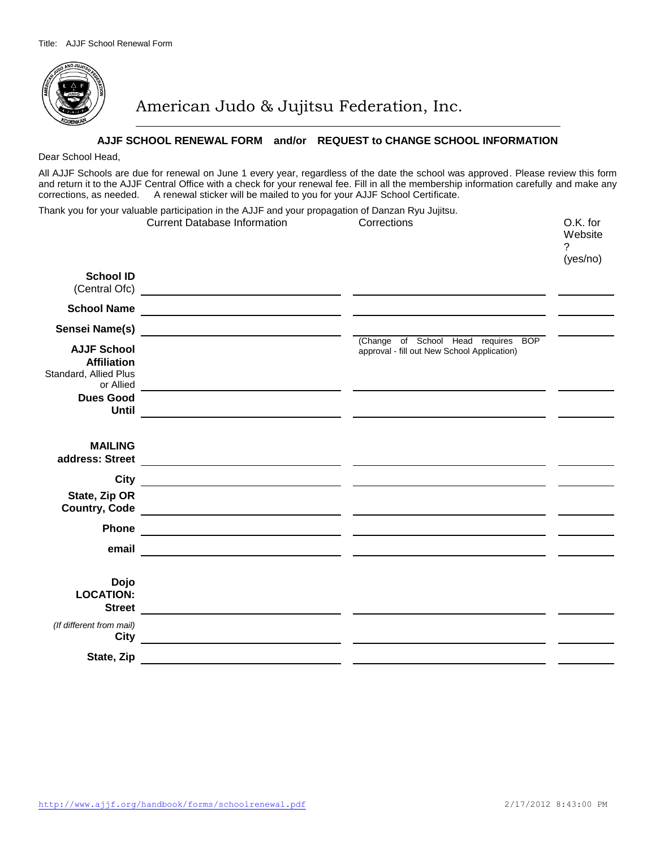

American Judo & Jujitsu Federation, Inc.

## **AJJF SCHOOL RENEWAL FORM and/or REQUEST to CHANGE SCHOOL INFORMATION**

## Dear School Head,

All AJJF Schools are due for renewal on June 1 every year, regardless of the date the school was approved. Please review this form and return it to the AJJF Central Office with a check for your renewal fee. Fill in all the membership information carefully and make any corrections, as needed. A renewal sticker will be mailed to you for your AJJF School Certificate.

Thank you for your valuable participation in the AJJF and your propagation of Danzan Ryu Jujitsu. Current Database Information Corrections O.K. for **Website** ? (yes/no) **School ID**  (Central Ofc) **School Name Sensei Name(s)** (Change of School Head requires BOP **AJJF School**  approval - fill out New School Application) **Affiliation**  Standard, Allied Plus or Allied <u> 1990 - Jan James James James James James James James James James James James James James James James James J</u> **Dues Good Until MAILING address: Street** <u> 2000 - Andrea Andrew Maria (b. 2000)</u> **City State, Zip OR Country, Code Phone** <u> 1989 - Johann Barn, amerikansk politiker (</u>† 1920) **email Dojo LOCATION: Street** *(If different from mail)*  <u> 1989 - Jan Salaman, mangalang pangangang pangangang pangangang panganggang panganggang panganggang panganggang pang</u> **City State, Zip**